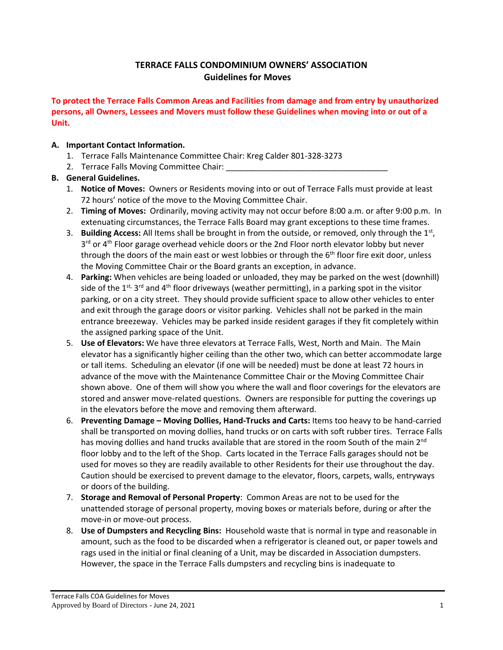## **TERRACE FALLS CONDOMINIUM OWNERS' ASSOCIATION Guidelines for Moves**

**To protect the Terrace Falls Common Areas and Facilities from damage and from entry by unauthorized persons, all Owners, Lessees and Movers must follow these Guidelines when moving into or out of a Unit.**

## **A. Important Contact Information.**

- 1. Terrace Falls Maintenance Committee Chair: Kreg Calder 801-328-3273
- 2. Terrace Falls Moving Committee Chair:

## **B. General Guidelines.**

- 1. **Notice of Moves:** Owners or Residents moving into or out of Terrace Falls must provide at least 72 hours' notice of the move to the Moving Committee Chair.
- 2. **Timing of Moves:** Ordinarily, moving activity may not occur before 8:00 a.m. or after 9:00 p.m. In extenuating circumstances, the Terrace Falls Board may grant exceptions to these time frames.
- 3. Building Access: All Items shall be brought in from the outside, or removed, only through the 1<sup>st</sup>, 3<sup>rd</sup> or 4<sup>th</sup> Floor garage overhead vehicle doors or the 2nd Floor north elevator lobby but never through the doors of the main east or west lobbies or through the  $6<sup>th</sup>$  floor fire exit door, unless the Moving Committee Chair or the Board grants an exception, in advance.
- 4. **Parking:** When vehicles are being loaded or unloaded, they may be parked on the west (downhill) side of the 1<sup>st,</sup> 3<sup>rd</sup> and 4<sup>th</sup> floor driveways (weather permitting), in a parking spot in the visitor parking, or on a city street. They should provide sufficient space to allow other vehicles to enter and exit through the garage doors or visitor parking. Vehicles shall not be parked in the main entrance breezeway. Vehicles may be parked inside resident garages if they fit completely within the assigned parking space of the Unit.
- 5. **Use of Elevators:** We have three elevators at Terrace Falls, West, North and Main. The Main elevator has a significantly higher ceiling than the other two, which can better accommodate large or tall items. Scheduling an elevator (if one will be needed) must be done at least 72 hours in advance of the move with the Maintenance Committee Chair or the Moving Committee Chair shown above. One of them will show you where the wall and floor coverings for the elevators are stored and answer move-related questions. Owners are responsible for putting the coverings up in the elevators before the move and removing them afterward.
- 6. **Preventing Damage – Moving Dollies, Hand-Trucks and Carts:** Items too heavy to be hand-carried shall be transported on moving dollies, hand trucks or on carts with soft rubber tires. Terrace Falls has moving dollies and hand trucks available that are stored in the room South of the main 2<sup>nd</sup> floor lobby and to the left of the Shop. Carts located in the Terrace Falls garages should not be used for moves so they are readily available to other Residents for their use throughout the day. Caution should be exercised to prevent damage to the elevator, floors, carpets, walls, entryways or doors of the building.
- 7. **Storage and Removal of Personal Property**: Common Areas are not to be used for the unattended storage of personal property, moving boxes or materials before, during or after the move-in or move-out process.
- 8. **Use of Dumpsters and Recycling Bins:** Household waste that is normal in type and reasonable in amount, such as the food to be discarded when a refrigerator is cleaned out, or paper towels and rags used in the initial or final cleaning of a Unit, may be discarded in Association dumpsters. However, the space in the Terrace Falls dumpsters and recycling bins is inadequate to